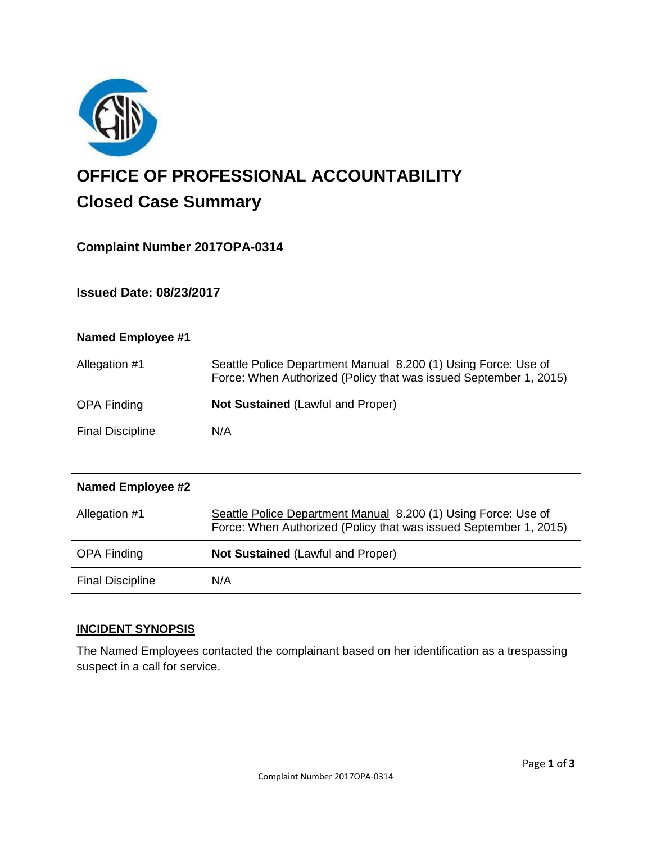

# **OFFICE OF PROFESSIONAL ACCOUNTABILITY Closed Case Summary**

## **Complaint Number 2017OPA-0314**

## **Issued Date: 08/23/2017**

| Named Employee #1       |                                                                                                                                     |
|-------------------------|-------------------------------------------------------------------------------------------------------------------------------------|
| Allegation #1           | Seattle Police Department Manual 8.200 (1) Using Force: Use of<br>Force: When Authorized (Policy that was issued September 1, 2015) |
| <b>OPA Finding</b>      | <b>Not Sustained (Lawful and Proper)</b>                                                                                            |
| <b>Final Discipline</b> | N/A                                                                                                                                 |

| <b>Named Employee #2</b> |                                                                                                                                     |
|--------------------------|-------------------------------------------------------------------------------------------------------------------------------------|
| Allegation #1            | Seattle Police Department Manual 8.200 (1) Using Force: Use of<br>Force: When Authorized (Policy that was issued September 1, 2015) |
| <b>OPA Finding</b>       | <b>Not Sustained (Lawful and Proper)</b>                                                                                            |
| <b>Final Discipline</b>  | N/A                                                                                                                                 |

## **INCIDENT SYNOPSIS**

The Named Employees contacted the complainant based on her identification as a trespassing suspect in a call for service.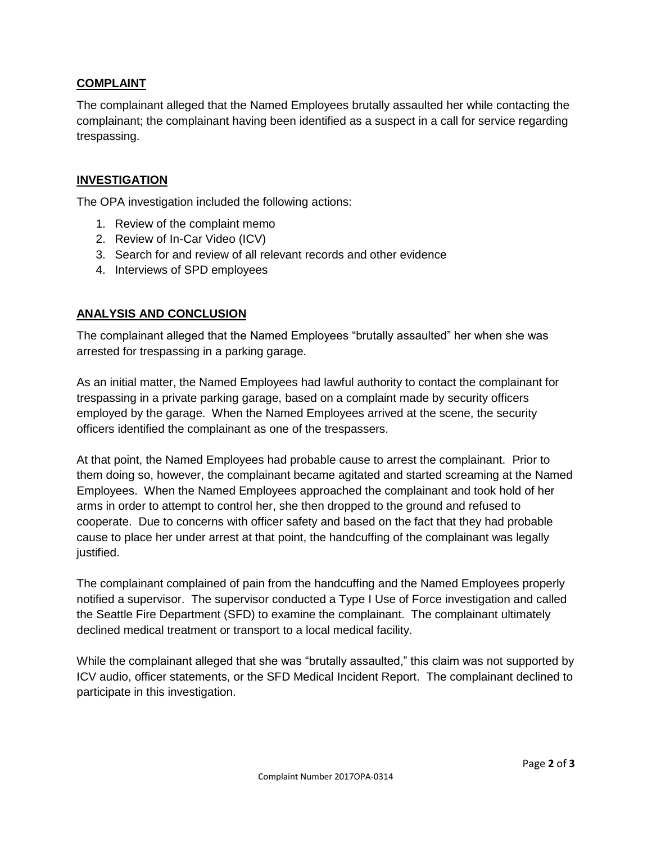### **COMPLAINT**

The complainant alleged that the Named Employees brutally assaulted her while contacting the complainant; the complainant having been identified as a suspect in a call for service regarding trespassing.

## **INVESTIGATION**

The OPA investigation included the following actions:

- 1. Review of the complaint memo
- 2. Review of In-Car Video (ICV)
- 3. Search for and review of all relevant records and other evidence
- 4. Interviews of SPD employees

#### **ANALYSIS AND CONCLUSION**

The complainant alleged that the Named Employees "brutally assaulted" her when she was arrested for trespassing in a parking garage.

As an initial matter, the Named Employees had lawful authority to contact the complainant for trespassing in a private parking garage, based on a complaint made by security officers employed by the garage. When the Named Employees arrived at the scene, the security officers identified the complainant as one of the trespassers.

At that point, the Named Employees had probable cause to arrest the complainant. Prior to them doing so, however, the complainant became agitated and started screaming at the Named Employees. When the Named Employees approached the complainant and took hold of her arms in order to attempt to control her, she then dropped to the ground and refused to cooperate. Due to concerns with officer safety and based on the fact that they had probable cause to place her under arrest at that point, the handcuffing of the complainant was legally justified.

The complainant complained of pain from the handcuffing and the Named Employees properly notified a supervisor. The supervisor conducted a Type I Use of Force investigation and called the Seattle Fire Department (SFD) to examine the complainant. The complainant ultimately declined medical treatment or transport to a local medical facility.

While the complainant alleged that she was "brutally assaulted," this claim was not supported by ICV audio, officer statements, or the SFD Medical Incident Report. The complainant declined to participate in this investigation.